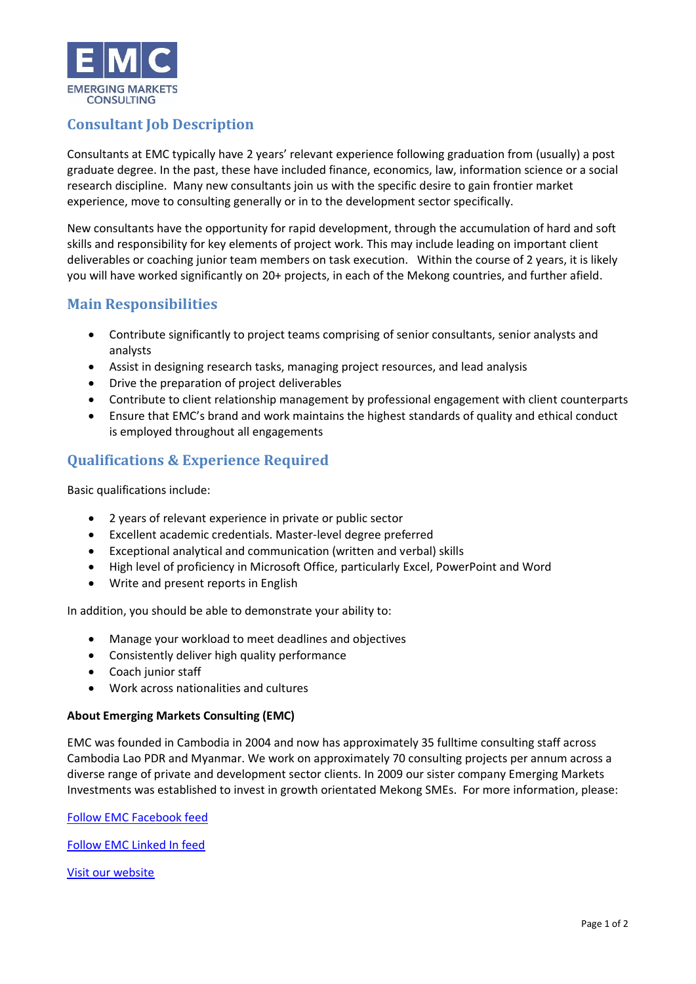

## **Consultant Job Description**

Consultants at EMC typically have 2 years' relevant experience following graduation from (usually) a post graduate degree. In the past, these have included finance, economics, law, information science or a social research discipline. Many new consultants join us with the specific desire to gain frontier market experience, move to consulting generally or in to the development sector specifically.

New consultants have the opportunity for rapid development, through the accumulation of hard and soft skills and responsibility for key elements of project work. This may include leading on important client deliverables or coaching junior team members on task execution. Within the course of 2 years, it is likely you will have worked significantly on 20+ projects, in each of the Mekong countries, and further afield.

## **Main Responsibilities**

- Contribute significantly to project teams comprising of senior consultants, senior analysts and analysts
- Assist in designing research tasks, managing project resources, and lead analysis
- Drive the preparation of project deliverables
- Contribute to client relationship management by professional engagement with client counterparts
- Ensure that EMC's brand and work maintains the highest standards of quality and ethical conduct is employed throughout all engagements

## **Qualifications & Experience Required**

Basic qualifications include:

- 2 years of relevant experience in private or public sector
- Excellent academic credentials. Master-level degree preferred
- Exceptional analytical and communication (written and verbal) skills
- High level of proficiency in Microsoft Office, particularly Excel, PowerPoint and Word
- Write and present reports in English

In addition, you should be able to demonstrate your ability to:

- Manage your workload to meet deadlines and objectives
- Consistently deliver high quality performance
- Coach junior staff
- Work across nationalities and cultures

## **About Emerging Markets Consulting (EMC)**

EMC was founded in Cambodia in 2004 and now has approximately 35 fulltime consulting staff across Cambodia Lao PDR and Myanmar. We work on approximately 70 consulting projects per annum across a diverse range of private and development sector clients. In 2009 our sister company Emerging Markets Investments was established to invest in growth orientated Mekong SMEs. For more information, please:

[Follow EMC Facebook feed](https://www.facebook.com/emergingmarketsconsulting/)

[Follow EMC Linked In feed](https://www.linkedin.com/company/emc_2/)

[Visit our website](http://www.emergingmarkets.asia/consulting/)